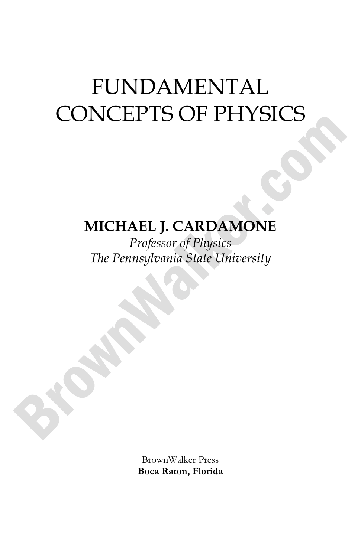# **MICHAEL J. CARDAMONE**

*Professor of Physics The Pennsylvania State University*

> BrownWalker Press **Boca Raton, Florida**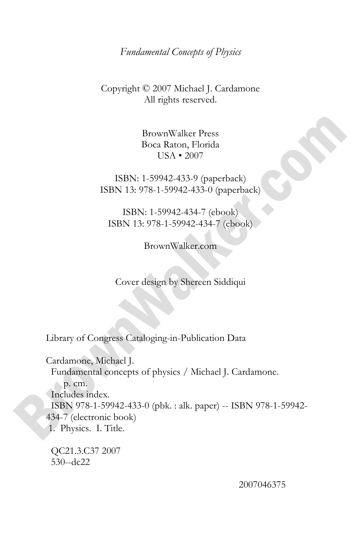#### *Fundamental Concepts of Physics*

#### Copyright © 2007 Michael J. Cardamone All rights reserved.

BrownWalker Press Boca Raton, Florida USA • 2007

ISBN: 1-59942-433-9 (paperback) ISBN 13: 978-1-59942-433-0 (paperback)

ISBN: 1-59942-434-7 (ebook) ISBN 13: 978-1-59942-434-7 (ebook)

BrownWalker.com

Cover design by Shereen Siddiqui

Library of Congress Cataloging-in-Publication Data

Cardamone, Michael J. Fundamental concepts of physics / Michael J. Cardamone. p. cm. Includes index. ISBN 978-1-59942-433-0 (pbk. : alk. paper) -- ISBN 978-1-59942- 434-7 (electronic book) 1. Physics. I. Title.

 QC21.3.C37 2007 530--dc22

2007046375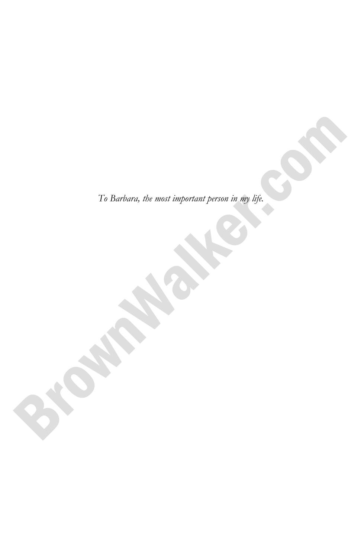*To Barbara, the most important person in my life.*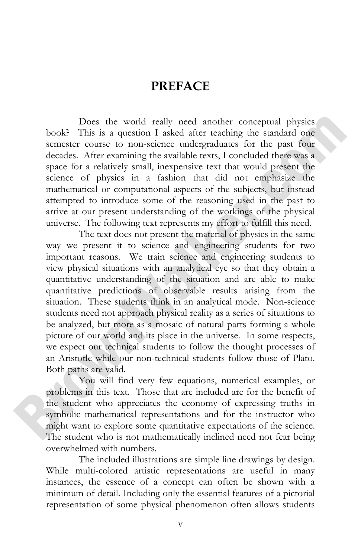### **PREFACE**

 Does the world really need another conceptual physics book? This is a question I asked after teaching the standard one semester course to non-science undergraduates for the past four decades. After examining the available texts, I concluded there was a space for a relatively small, inexpensive text that would present the science of physics in a fashion that did not emphasize the mathematical or computational aspects of the subjects, but instead attempted to introduce some of the reasoning used in the past to arrive at our present understanding of the workings of the physical universe. The following text represents my effort to fulfill this need.

The text does not present the material of physics in the same way we present it to science and engineering students for two important reasons. We train science and engineering students to view physical situations with an analytical eye so that they obtain a quantitative understanding of the situation and are able to make quantitative predictions of observable results arising from the situation. These students think in an analytical mode. Non-science students need not approach physical reality as a series of situations to be analyzed, but more as a mosaic of natural parts forming a whole picture of our world and its place in the universe. In some respects, we expect our technical students to follow the thought processes of an Aristotle while our non-technical students follow those of Plato. Both paths are valid.

You will find very few equations, numerical examples, or problems in this text. Those that are included are for the benefit of the student who appreciates the economy of expressing truths in symbolic mathematical representations and for the instructor who might want to explore some quantitative expectations of the science. The student who is not mathematically inclined need not fear being overwhelmed with numbers.

The included illustrations are simple line drawings by design. While multi-colored artistic representations are useful in many instances, the essence of a concept can often be shown with a minimum of detail. Including only the essential features of a pictorial representation of some physical phenomenon often allows students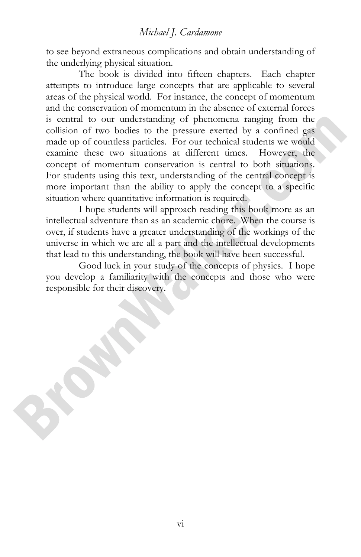to see beyond extraneous complications and obtain understanding of the underlying physical situation.

The book is divided into fifteen chapters. Each chapter attempts to introduce large concepts that are applicable to several areas of the physical world. For instance, the concept of momentum and the conservation of momentum in the absence of external forces is central to our understanding of phenomena ranging from the collision of two bodies to the pressure exerted by a confined gas made up of countless particles. For our technical students we would examine these two situations at different times. However, the concept of momentum conservation is central to both situations. For students using this text, understanding of the central concept is more important than the ability to apply the concept to a specific situation where quantitative information is required.

I hope students will approach reading this book more as an intellectual adventure than as an academic chore. When the course is over, if students have a greater understanding of the workings of the universe in which we are all a part and the intellectual developments that lead to this understanding, the book will have been successful.

Good luck in your study of the concepts of physics. I hope you develop a familiarity with the concepts and those who were responsible for their discovery.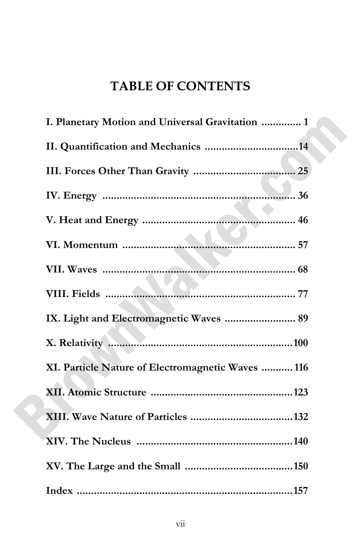# **TABLE OF CONTENTS**

| I. Planetary Motion and Universal Gravitation  1  |
|---------------------------------------------------|
|                                                   |
|                                                   |
|                                                   |
|                                                   |
|                                                   |
|                                                   |
|                                                   |
| IX. Light and Electromagnetic Waves  89           |
|                                                   |
| XI. Particle Nature of Electromagnetic Waves  116 |
|                                                   |
|                                                   |
|                                                   |
|                                                   |
|                                                   |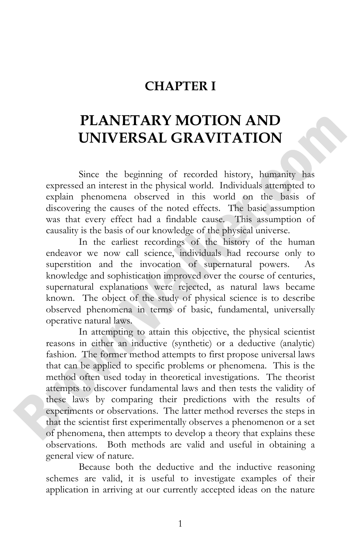### **CHAPTER I**

# **PLANETARY MOTION AND UNIVERSAL GRAVITATION**

 Since the beginning of recorded history, humanity has expressed an interest in the physical world. Individuals attempted to explain phenomena observed in this world on the basis of discovering the causes of the noted effects. The basic assumption was that every effect had a findable cause. This assumption of causality is the basis of our knowledge of the physical universe.

In the earliest recordings of the history of the human endeavor we now call science, individuals had recourse only to superstition and the invocation of supernatural powers. As knowledge and sophistication improved over the course of centuries, supernatural explanations were rejected, as natural laws became known. The object of the study of physical science is to describe observed phenomena in terms of basic, fundamental, universally operative natural laws.

In attempting to attain this objective, the physical scientist reasons in either an inductive (synthetic) or a deductive (analytic) fashion. The former method attempts to first propose universal laws that can be applied to specific problems or phenomena. This is the method often used today in theoretical investigations. The theorist attempts to discover fundamental laws and then tests the validity of these laws by comparing their predictions with the results of experiments or observations. The latter method reverses the steps in that the scientist first experimentally observes a phenomenon or a set of phenomena, then attempts to develop a theory that explains these observations. Both methods are valid and useful in obtaining a general view of nature.

Because both the deductive and the inductive reasoning schemes are valid, it is useful to investigate examples of their application in arriving at our currently accepted ideas on the nature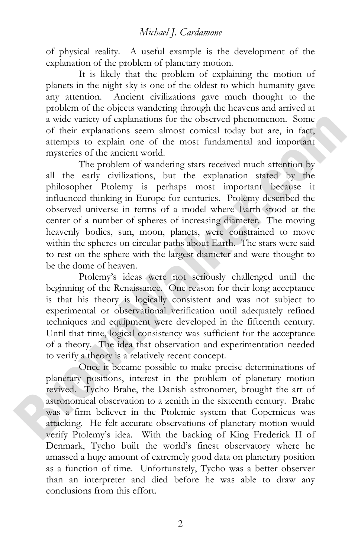of physical reality. A useful example is the development of the explanation of the problem of planetary motion.

It is likely that the problem of explaining the motion of planets in the night sky is one of the oldest to which humanity gave any attention. Ancient civilizations gave much thought to the problem of the objects wandering through the heavens and arrived at a wide variety of explanations for the observed phenomenon. Some of their explanations seem almost comical today but are, in fact, attempts to explain one of the most fundamental and important mysteries of the ancient world.

The problem of wandering stars received much attention by all the early civilizations, but the explanation stated by the philosopher Ptolemy is perhaps most important because it influenced thinking in Europe for centuries. Ptolemy described the observed universe in terms of a model where Earth stood at the center of a number of spheres of increasing diameter. The moving heavenly bodies, sun, moon, planets, were constrained to move within the spheres on circular paths about Earth. The stars were said to rest on the sphere with the largest diameter and were thought to be the dome of heaven.

Ptolemy's ideas were not seriously challenged until the beginning of the Renaissance. One reason for their long acceptance is that his theory is logically consistent and was not subject to experimental or observational verification until adequately refined techniques and equipment were developed in the fifteenth century. Until that time, logical consistency was sufficient for the acceptance of a theory. The idea that observation and experimentation needed to verify a theory is a relatively recent concept.

Once it became possible to make precise determinations of planetary positions, interest in the problem of planetary motion revived. Tycho Brahe, the Danish astronomer, brought the art of astronomical observation to a zenith in the sixteenth century. Brahe was a firm believer in the Ptolemic system that Copernicus was attacking. He felt accurate observations of planetary motion would verify Ptolemy's idea. With the backing of King Frederick II of Denmark, Tycho built the world's finest observatory where he amassed a huge amount of extremely good data on planetary position as a function of time. Unfortunately, Tycho was a better observer than an interpreter and died before he was able to draw any conclusions from this effort.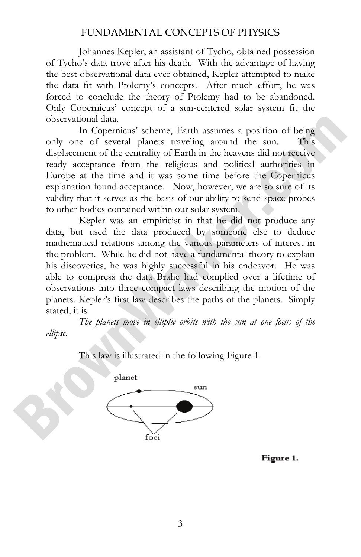Johannes Kepler, an assistant of Tycho, obtained possession of Tycho's data trove after his death. With the advantage of having the best observational data ever obtained, Kepler attempted to make the data fit with Ptolemy's concepts. After much effort, he was forced to conclude the theory of Ptolemy had to be abandoned. Only Copernicus' concept of a sun-centered solar system fit the observational data.

In Copernicus' scheme, Earth assumes a position of being only one of several planets traveling around the sun. This displacement of the centrality of Earth in the heavens did not receive ready acceptance from the religious and political authorities in Europe at the time and it was some time before the Copernicus explanation found acceptance. Now, however, we are so sure of its validity that it serves as the basis of our ability to send space probes to other bodies contained within our solar system.

Kepler was an empiricist in that he did not produce any data, but used the data produced by someone else to deduce mathematical relations among the various parameters of interest in the problem. While he did not have a fundamental theory to explain his discoveries, he was highly successful in his endeavor. He was able to compress the data Brahe had complied over a lifetime of observations into three compact laws describing the motion of the planets. Kepler's first law describes the paths of the planets. Simply stated, it is:

*The planets move in elliptic orbits with the sun at one focus of the ellipse*.

This law is illustrated in the following Figure 1.



Figure 1.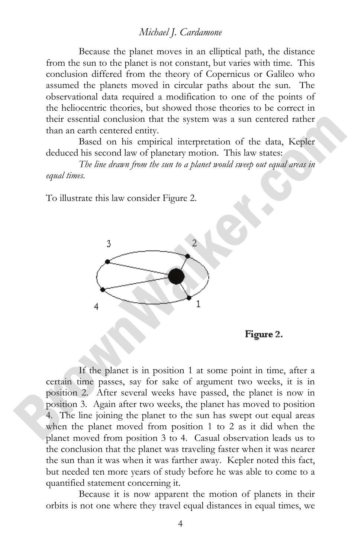Because the planet moves in an elliptical path, the distance from the sun to the planet is not constant, but varies with time. This conclusion differed from the theory of Copernicus or Galileo who assumed the planets moved in circular paths about the sun. The observational data required a modification to one of the points of the heliocentric theories, but showed those theories to be correct in their essential conclusion that the system was a sun centered rather than an earth centered entity.

Based on his empirical interpretation of the data, Kepler deduced his second law of planetary motion. This law states:

*The line drawn from the sun to a planet would sweep out equal areas in equal times.*

To illustrate this law consider Figure 2.



Figure 2.

 If the planet is in position 1 at some point in time, after a certain time passes, say for sake of argument two weeks, it is in position 2. After several weeks have passed, the planet is now in position 3. Again after two weeks, the planet has moved to position 4. The line joining the planet to the sun has swept out equal areas when the planet moved from position 1 to 2 as it did when the planet moved from position 3 to 4. Casual observation leads us to the conclusion that the planet was traveling faster when it was nearer the sun than it was when it was farther away. Kepler noted this fact, but needed ten more years of study before he was able to come to a quantified statement concerning it.

Because it is now apparent the motion of planets in their orbits is not one where they travel equal distances in equal times, we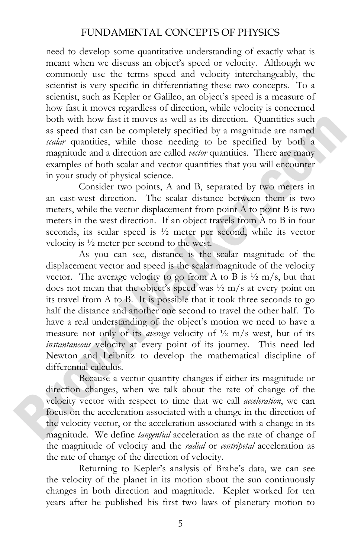need to develop some quantitative understanding of exactly what is meant when we discuss an object's speed or velocity. Although we commonly use the terms speed and velocity interchangeably, the scientist is very specific in differentiating these two concepts. To a scientist, such as Kepler or Galileo, an object's speed is a measure of how fast it moves regardless of direction, while velocity is concerned both with how fast it moves as well as its direction. Quantities such as speed that can be completely specified by a magnitude are named *scalar* quantities, while those needing to be specified by both a magnitude and a direction are called *vector* quantities. There are many examples of both scalar and vector quantities that you will encounter in your study of physical science.

Consider two points, A and B, separated by two meters in an east-west direction. The scalar distance between them is two meters, while the vector displacement from point A to point B is two meters in the west direction. If an object travels from A to B in four seconds, its scalar speed is ½ meter per second, while its vector velocity is ½ meter per second to the west.

As you can see, distance is the scalar magnitude of the displacement vector and speed is the scalar magnitude of the velocity vector. The average velocity to go from A to B is  $\frac{1}{2}$  m/s, but that does not mean that the object's speed was ½ m/s at every point on its travel from A to B. It is possible that it took three seconds to go half the distance and another one second to travel the other half. To have a real understanding of the object's motion we need to have a measure not only of its *average* velocity of ½ m/s west, but of its *instantaneous* velocity at every point of its journey. This need led Newton and Leibnitz to develop the mathematical discipline of differential calculus.

Because a vector quantity changes if either its magnitude or direction changes, when we talk about the rate of change of the velocity vector with respect to time that we call *acceleration*, we can focus on the acceleration associated with a change in the direction of the velocity vector, or the acceleration associated with a change in its magnitude. We define *tangential* acceleration as the rate of change of the magnitude of velocity and the *radial* or *centripetal* acceleration as the rate of change of the direction of velocity.

Returning to Kepler's analysis of Brahe's data, we can see the velocity of the planet in its motion about the sun continuously changes in both direction and magnitude. Kepler worked for ten years after he published his first two laws of planetary motion to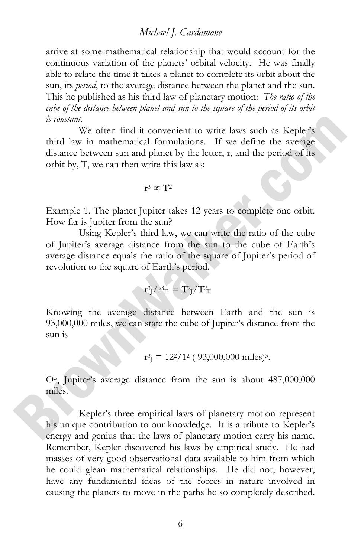arrive at some mathematical relationship that would account for the continuous variation of the planets' orbital velocity. He was finally able to relate the time it takes a planet to complete its orbit about the sun, its *period*, to the average distance between the planet and the sun. This he published as his third law of planetary motion: *The ratio of the cube of the distance between planet and sun to the square of the period of its orbit is constant.* 

We often find it convenient to write laws such as Kepler's third law in mathematical formulations. If we define the average distance between sun and planet by the letter, r, and the period of its orbit by, T, we can then write this law as:

$$
r^3 \propto T^2
$$

Example 1. The planet Jupiter takes 12 years to complete one orbit. How far is Jupiter from the sun?

Using Kepler's third law, we can write the ratio of the cube of Jupiter's average distance from the sun to the cube of Earth's average distance equals the ratio of the square of Jupiter's period of revolution to the square of Earth's period.

$$
\mathrm{r^3_{J}}/\mathrm{r^3_{E}} = \mathrm{T^2_{J}}/\mathrm{T^2_{E}}
$$

Knowing the average distance between Earth and the sun is 93,000,000 miles, we can state the cube of Jupiter's distance from the sun is

$$
r^3
$$
<sub>J</sub> = 12<sup>2</sup>/1<sup>2</sup> (93,000,000 miles)<sup>3</sup>.

Or, Jupiter's average distance from the sun is about 487,000,000 miles.

Kepler's three empirical laws of planetary motion represent his unique contribution to our knowledge. It is a tribute to Kepler's energy and genius that the laws of planetary motion carry his name. Remember, Kepler discovered his laws by empirical study. He had masses of very good observational data available to him from which he could glean mathematical relationships. He did not, however, have any fundamental ideas of the forces in nature involved in causing the planets to move in the paths he so completely described.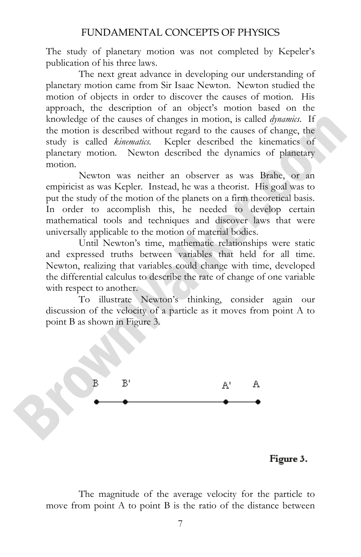The study of planetary motion was not completed by Kepeler's publication of his three laws.

The next great advance in developing our understanding of planetary motion came from Sir Isaac Newton. Newton studied the motion of objects in order to discover the causes of motion. His approach, the description of an object's motion based on the knowledge of the causes of changes in motion, is called *dynamics*. If the motion is described without regard to the causes of change, the study is called *kinematics.* Kepler described the kinematics of planetary motion. Newton described the dynamics of planetary motion.

Newton was neither an observer as was Brahe, or an empiricist as was Kepler. Instead, he was a theorist. His goal was to put the study of the motion of the planets on a firm theoretical basis. In order to accomplish this, he needed to develop certain mathematical tools and techniques and discover laws that were universally applicable to the motion of material bodies.

Until Newton's time, mathematic relationships were static and expressed truths between variables that held for all time. Newton, realizing that variables could change with time, developed the differential calculus to describe the rate of change of one variable with respect to another.

To illustrate Newton's thinking, consider again our discussion of the velocity of a particle as it moves from point A to point B as shown in Figure 3.



Figure 3.

The magnitude of the average velocity for the particle to move from point A to point B is the ratio of the distance between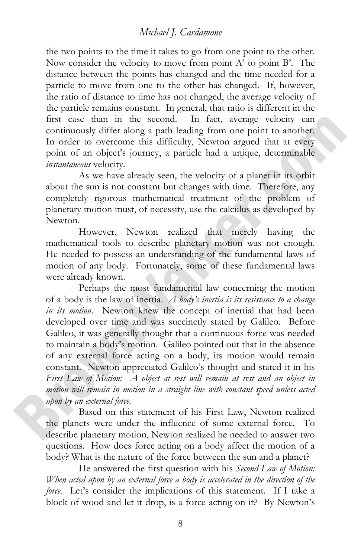the two points to the time it takes to go from one point to the other. Now consider the velocity to move from point A' to point B'. The distance between the points has changed and the time needed for a particle to move from one to the other has changed. If, however, the ratio of distance to time has not changed, the average velocity of the particle remains constant. In general, that ratio is different in the first case than in the second. In fact, average velocity can continuously differ along a path leading from one point to another. In order to overcome this difficulty, Newton argued that at every point of an object's journey, a particle had a unique, determinable *instantaneous* velocity.

As we have already seen, the velocity of a planet in its orbit about the sun is not constant but changes with time. Therefore, any completely rigorous mathematical treatment of the problem of planetary motion must, of necessity, use the calculus as developed by Newton.

However, Newton realized that merely having the mathematical tools to describe planetary motion was not enough. He needed to possess an understanding of the fundamental laws of motion of any body. Fortunately, some of these fundamental laws were already known.

 Perhaps the most fundamental law concerning the motion of a body is the law of inertia. *A body's inertia is its resistance to a change in its motion*. Newton knew the concept of inertial that had been developed over time and was succinctly stated by Galileo. Before Galileo, it was generally thought that a continuous force was needed to maintain a body's motion. Galileo pointed out that in the absence of any external force acting on a body, its motion would remain constant. Newton appreciated Galileo's thought and stated it in his *First Law of Motion: A object at rest will remain at rest and an object in motion will remain in motion in a straight line with constant speed unless acted upon by an external force.* 

Based on this statement of his First Law, Newton realized the planets were under the influence of some external force. To describe planetary motion, Newton realized he needed to answer two questions. How does force acting on a body affect the motion of a body? What is the nature of the force between the sun and a planet?

He answered the first question with his *Second Law of Motion: When acted upon by an external force a body is accelerated in the direction of the force.* Let's consider the implications of this statement. If I take a block of wood and let it drop, is a force acting on it? By Newton's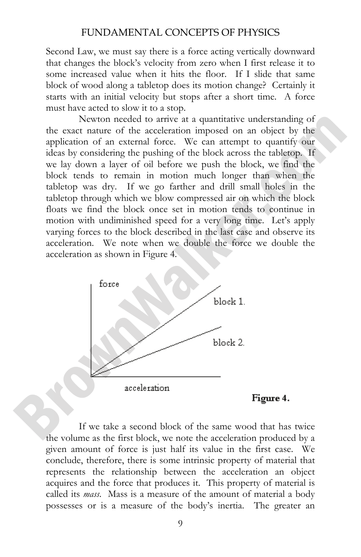Second Law, we must say there is a force acting vertically downward that changes the block's velocity from zero when I first release it to some increased value when it hits the floor. If I slide that same block of wood along a tabletop does its motion change? Certainly it starts with an initial velocity but stops after a short time. A force must have acted to slow it to a stop.

Newton needed to arrive at a quantitative understanding of the exact nature of the acceleration imposed on an object by the application of an external force. We can attempt to quantify our ideas by considering the pushing of the block across the tabletop. If we lay down a layer of oil before we push the block, we find the block tends to remain in motion much longer than when the tabletop was dry. If we go farther and drill small holes in the tabletop through which we blow compressed air on which the block floats we find the block once set in motion tends to continue in motion with undiminished speed for a very long time. Let's apply varying forces to the block described in the last case and observe its acceleration. We note when we double the force we double the acceleration as shown in Figure 4.



Figure 4.

 If we take a second block of the same wood that has twice the volume as the first block, we note the acceleration produced by a given amount of force is just half its value in the first case. We conclude, therefore, there is some intrinsic property of material that represents the relationship between the acceleration an object acquires and the force that produces it. This property of material is called its *mass*. Mass is a measure of the amount of material a body possesses or is a measure of the body's inertia. The greater an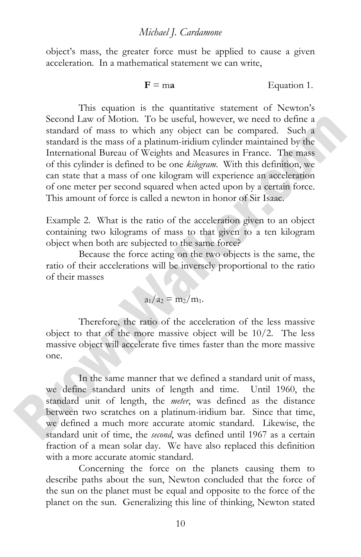object's mass, the greater force must be applied to cause a given acceleration. In a mathematical statement we can write,

$$
F = ma
$$
 Equation 1.

 This equation is the quantitative statement of Newton's Second Law of Motion. To be useful, however, we need to define a standard of mass to which any object can be compared. Such a standard is the mass of a platinum-iridium cylinder maintained by the International Bureau of Weights and Measures in France. The mass of this cylinder is defined to be one *kilogram*. With this definition, we can state that a mass of one kilogram will experience an acceleration of one meter per second squared when acted upon by a certain force. This amount of force is called a newton in honor of Sir Isaac.

Example 2. What is the ratio of the acceleration given to an object containing two kilograms of mass to that given to a ten kilogram object when both are subjected to the same force?

Because the force acting on the two objects is the same, the ratio of their accelerations will be inversely proportional to the ratio of their masses

$$
a_1/a_2 = m_2/m_1.
$$

Therefore, the ratio of the acceleration of the less massive object to that of the more massive object will be 10/2. The less massive object will accelerate five times faster than the more massive one.

 In the same manner that we defined a standard unit of mass, we define standard units of length and time. Until 1960, the standard unit of length, the *meter*, was defined as the distance between two scratches on a platinum-iridium bar. Since that time, we defined a much more accurate atomic standard. Likewise, the standard unit of time, the *second*, was defined until 1967 as a certain fraction of a mean solar day. We have also replaced this definition with a more accurate atomic standard.

Concerning the force on the planets causing them to describe paths about the sun, Newton concluded that the force of the sun on the planet must be equal and opposite to the force of the planet on the sun. Generalizing this line of thinking, Newton stated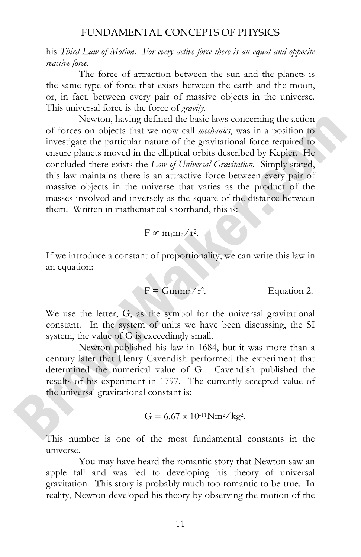his *Third Law of Motion: For every active force there is an equal and opposite reactive force.*

The force of attraction between the sun and the planets is the same type of force that exists between the earth and the moon, or, in fact, between every pair of massive objects in the universe. This universal force is the force of *gravity.*

Newton, having defined the basic laws concerning the action of forces on objects that we now call *mechanics*, was in a position to investigate the particular nature of the gravitational force required to ensure planets moved in the elliptical orbits described by Kepler. He concluded there exists the *Law of Universal Gravitation*. Simply stated, this law maintains there is an attractive force between every pair of massive objects in the universe that varies as the product of the masses involved and inversely as the square of the distance between them. Written in mathematical shorthand, this is:

$$
F \propto m_1 m_2 / r^2
$$
.

If we introduce a constant of proportionality, we can write this law in an equation:

$$
F = Gm_1m_2/r^2.
$$
 Equation 2.

We use the letter, G, as the symbol for the universal gravitational constant. In the system of units we have been discussing, the SI system, the value of G is exceedingly small.

Newton published his law in 1684, but it was more than a century later that Henry Cavendish performed the experiment that determined the numerical value of G. Cavendish published the results of his experiment in 1797. The currently accepted value of the universal gravitational constant is:

$$
G = 6.67 \times 10^{-11} \text{Nm}^2/\text{kg}^2.
$$

This number is one of the most fundamental constants in the universe.

You may have heard the romantic story that Newton saw an apple fall and was led to developing his theory of universal gravitation. This story is probably much too romantic to be true. In reality, Newton developed his theory by observing the motion of the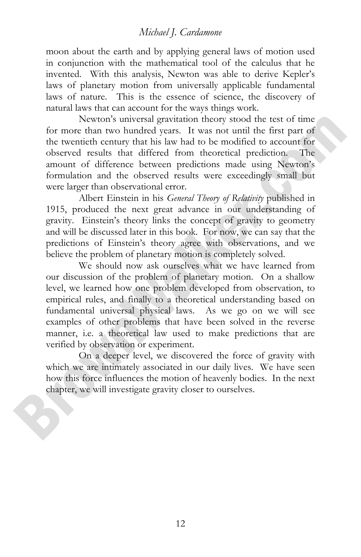moon about the earth and by applying general laws of motion used in conjunction with the mathematical tool of the calculus that he invented. With this analysis, Newton was able to derive Kepler's laws of planetary motion from universally applicable fundamental laws of nature. This is the essence of science, the discovery of natural laws that can account for the ways things work.

Newton's universal gravitation theory stood the test of time for more than two hundred years. It was not until the first part of the twentieth century that his law had to be modified to account for observed results that differed from theoretical prediction. The amount of difference between predictions made using Newton's formulation and the observed results were exceedingly small but were larger than observational error.

Albert Einstein in his *General Theory of Relativity* published in 1915, produced the next great advance in our understanding of gravity. Einstein's theory links the concept of gravity to geometry and will be discussed later in this book. For now, we can say that the predictions of Einstein's theory agree with observations, and we believe the problem of planetary motion is completely solved.

We should now ask ourselves what we have learned from our discussion of the problem of planetary motion. On a shallow level, we learned how one problem developed from observation, to empirical rules, and finally to a theoretical understanding based on fundamental universal physical laws. As we go on we will see examples of other problems that have been solved in the reverse manner, i.e. a theoretical law used to make predictions that are verified by observation or experiment.

On a deeper level, we discovered the force of gravity with which we are intimately associated in our daily lives. We have seen how this force influences the motion of heavenly bodies. In the next chapter, we will investigate gravity closer to ourselves.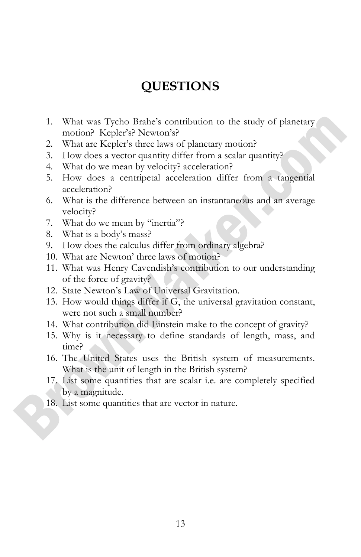# **QUESTIONS**

- 1. What was Tycho Brahe's contribution to the study of planetary motion? Kepler's? Newton's?
- 2. What are Kepler's three laws of planetary motion?
- 3. How does a vector quantity differ from a scalar quantity?
- 4. What do we mean by velocity? acceleration?
- 5. How does a centripetal acceleration differ from a tangential acceleration?
- 6. What is the difference between an instantaneous and an average velocity?
- 7. What do we mean by "inertia"?
- 8. What is a body's mass?
- 9. How does the calculus differ from ordinary algebra?
- 10. What are Newton' three laws of motion?
- 11. What was Henry Cavendish's contribution to our understanding of the force of gravity?
- 12. State Newton's Law of Universal Gravitation.
- 13. How would things differ if G, the universal gravitation constant, were not such a small number?
- 14. What contribution did Einstein make to the concept of gravity?
- 15. Why is it necessary to define standards of length, mass, and time?
- 16. The United States uses the British system of measurements. What is the unit of length in the British system?
- 17. List some quantities that are scalar i.e. are completely specified by a magnitude.
- 18. List some quantities that are vector in nature.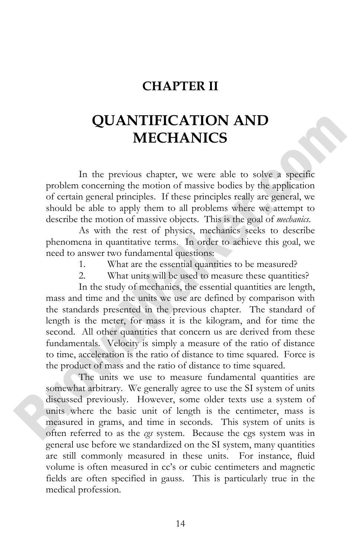### **CHAPTER II**

# **QUANTIFICATION AND MECHANICS**

 In the previous chapter, we were able to solve a specific problem concerning the motion of massive bodies by the application of certain general principles. If these principles really are general, we should be able to apply them to all problems where we attempt to describe the motion of massive objects. This is the goal of *mechanics*.

As with the rest of physics, mechanics seeks to describe phenomena in quantitative terms. In order to achieve this goal, we need to answer two fundamental questions:

- 1. What are the essential quantities to be measured?
- 2. What units will be used to measure these quantities?

In the study of mechanics, the essential quantities are length, mass and time and the units we use are defined by comparison with the standards presented in the previous chapter. The standard of length is the meter, for mass it is the kilogram, and for time the second. All other quantities that concern us are derived from these fundamentals. Velocity is simply a measure of the ratio of distance to time, acceleration is the ratio of distance to time squared. Force is the product of mass and the ratio of distance to time squared.

The units we use to measure fundamental quantities are somewhat arbitrary. We generally agree to use the SI system of units discussed previously. However, some older texts use a system of units where the basic unit of length is the centimeter, mass is measured in grams, and time in seconds. This system of units is often referred to as the *cgs* system. Because the cgs system was in general use before we standardized on the SI system, many quantities are still commonly measured in these units. For instance, fluid volume is often measured in cc's or cubic centimeters and magnetic fields are often specified in gauss. This is particularly true in the medical profession.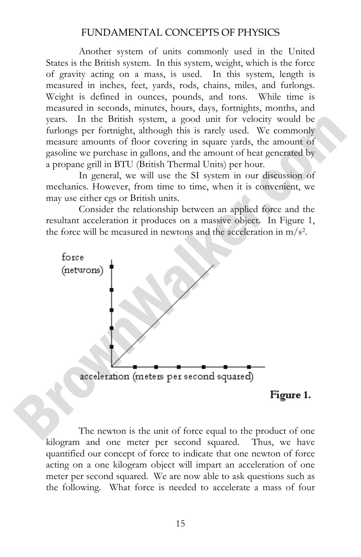Another system of units commonly used in the United States is the British system. In this system, weight, which is the force of gravity acting on a mass, is used. In this system, length is measured in inches, feet, yards, rods, chains, miles, and furlongs. Weight is defined in ounces, pounds, and tons. While time is measured in seconds, minutes, hours, days, fortnights, months, and years. In the British system, a good unit for velocity would be furlongs per fortnight, although this is rarely used. We commonly measure amounts of floor covering in square yards, the amount of gasoline we purchase in gallons, and the amount of heat generated by a propane grill in BTU (British Thermal Units) per hour.

In general, we will use the SI system in our discussion of mechanics. However, from time to time, when it is convenient, we may use either cgs or British units.

Consider the relationship between an applied force and the resultant acceleration it produces on a massive object. In Figure 1, the force will be measured in newtons and the acceleration in  $m/s<sup>2</sup>$ .



 The newton is the unit of force equal to the product of one kilogram and one meter per second squared. Thus, we have quantified our concept of force to indicate that one newton of force acting on a one kilogram object will impart an acceleration of one meter per second squared. We are now able to ask questions such as the following. What force is needed to accelerate a mass of four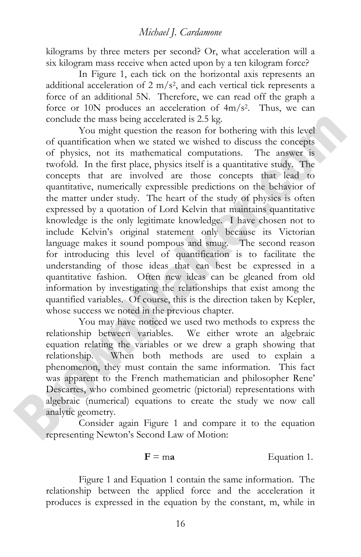kilograms by three meters per second? Or, what acceleration will a six kilogram mass receive when acted upon by a ten kilogram force?

In Figure 1, each tick on the horizontal axis represents an additional acceleration of  $2 \text{ m/s}^2$ , and each vertical tick represents a force of an additional 5N. Therefore, we can read off the graph a force or 10N produces an acceleration of 4m/s2. Thus, we can conclude the mass being accelerated is 2.5 kg.

You might question the reason for bothering with this level of quantification when we stated we wished to discuss the concepts of physics, not its mathematical computations. The answer is twofold. In the first place, physics itself is a quantitative study. The concepts that are involved are those concepts that lead to quantitative, numerically expressible predictions on the behavior of the matter under study. The heart of the study of physics is often expressed by a quotation of Lord Kelvin that maintains quantitative knowledge is the only legitimate knowledge. I have chosen not to include Kelvin's original statement only because its Victorian language makes it sound pompous and smug. The second reason for introducing this level of quantification is to facilitate the understanding of those ideas that can best be expressed in a quantitative fashion. Often new ideas can be gleaned from old information by investigating the relationships that exist among the quantified variables. Of course, this is the direction taken by Kepler, whose success we noted in the previous chapter.

You may have noticed we used two methods to express the relationship between variables. We either wrote an algebraic equation relating the variables or we drew a graph showing that relationship. When both methods are used to explain a phenomenon, they must contain the same information. This fact was apparent to the French mathematician and philosopher Rene' Descartes, who combined geometric (pictorial) representations with algebraic (numerical) equations to create the study we now call analytic geometry.

Consider again Figure 1 and compare it to the equation representing Newton's Second Law of Motion:

#### $F = ma$  Equation 1.

Figure 1 and Equation 1 contain the same information. The relationship between the applied force and the acceleration it produces is expressed in the equation by the constant, m, while in